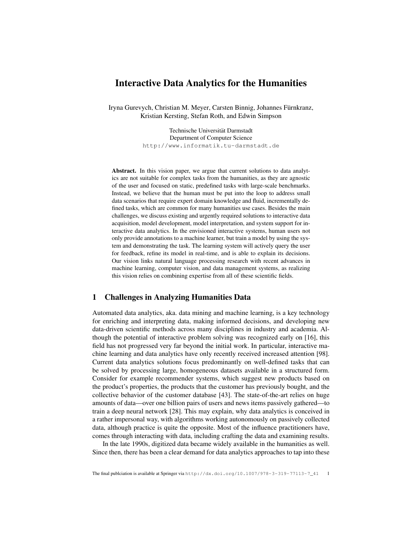# Interactive Data Analytics for the Humanities

Iryna Gurevych, Christian M. Meyer, Carsten Binnig, Johannes Furnkranz, ¨ Kristian Kersting, Stefan Roth, and Edwin Simpson

> Technische Universität Darmstadt Department of Computer Science <http://www.informatik.tu-darmstadt.de>

Abstract. In this vision paper, we argue that current solutions to data analytics are not suitable for complex tasks from the humanities, as they are agnostic of the user and focused on static, predefined tasks with large-scale benchmarks. Instead, we believe that the human must be put into the loop to address small data scenarios that require expert domain knowledge and fluid, incrementally defined tasks, which are common for many humanities use cases. Besides the main challenges, we discuss existing and urgently required solutions to interactive data acquisition, model development, model interpretation, and system support for interactive data analytics. In the envisioned interactive systems, human users not only provide annotations to a machine learner, but train a model by using the system and demonstrating the task. The learning system will actively query the user for feedback, refine its model in real-time, and is able to explain its decisions. Our vision links natural language processing research with recent advances in machine learning, computer vision, and data management systems, as realizing this vision relies on combining expertise from all of these scientific fields.

## 1 Challenges in Analyzing Humanities Data

Automated data analytics, aka. data mining and machine learning, is a key technology for enriching and interpreting data, making informed decisions, and developing new data-driven scientific methods across many disciplines in industry and academia. Although the potential of interactive problem solving was recognized early on [\[16\]](#page-15-0), this field has not progressed very far beyond the initial work. In particular, interactive machine learning and data analytics have only recently received increased attention [\[98\]](#page-20-0). Current data analytics solutions focus predominantly on well-defined tasks that can be solved by processing large, homogeneous datasets available in a structured form. Consider for example recommender systems, which suggest new products based on the product's properties, the products that the customer has previously bought, and the collective behavior of the customer database [\[43\]](#page-17-0). The state-of-the-art relies on huge amounts of data—over one billion pairs of users and news items passively gathered—to train a deep neural network [\[28\]](#page-16-0). This may explain, why data analytics is conceived in a rather impersonal way, with algorithms working autonomously on passively collected data, although practice is quite the opposite. Most of the influence practitioners have, comes through interacting with data, including crafting the data and examining results.

In the late 1990s, digitized data became widely available in the humanities as well. Since then, there has been a clear demand for data analytics approaches to tap into these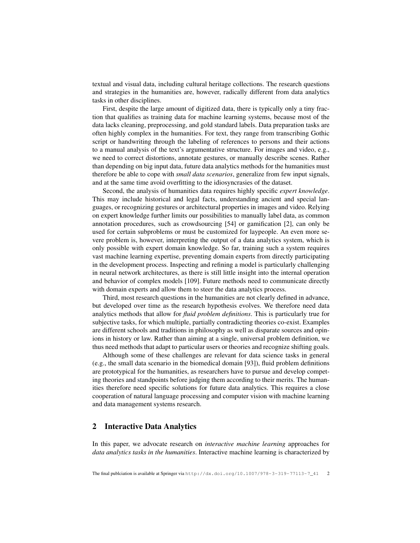textual and visual data, including cultural heritage collections. The research questions and strategies in the humanities are, however, radically different from data analytics tasks in other disciplines.

First, despite the large amount of digitized data, there is typically only a tiny fraction that qualifies as training data for machine learning systems, because most of the data lacks cleaning, preprocessing, and gold standard labels. Data preparation tasks are often highly complex in the humanities. For text, they range from transcribing Gothic script or handwriting through the labeling of references to persons and their actions to a manual analysis of the text's argumentative structure. For images and video, e.g., we need to correct distortions, annotate gestures, or manually describe scenes. Rather than depending on big input data, future data analytics methods for the humanities must therefore be able to cope with *small data scenarios*, generalize from few input signals, and at the same time avoid overfitting to the idiosyncrasies of the dataset.

Second, the analysis of humanities data requires highly specific *expert knowledge*. This may include historical and legal facts, understanding ancient and special languages, or recognizing gestures or architectural properties in images and video. Relying on expert knowledge further limits our possibilities to manually label data, as common annotation procedures, such as crowdsourcing [\[54\]](#page-17-1) or gamification [\[2\]](#page-15-1), can only be used for certain subproblems or must be customized for laypeople. An even more severe problem is, however, interpreting the output of a data analytics system, which is only possible with expert domain knowledge. So far, training such a system requires vast machine learning expertise, preventing domain experts from directly participating in the development process. Inspecting and refining a model is particularly challenging in neural network architectures, as there is still little insight into the internal operation and behavior of complex models [\[109\]](#page-20-1). Future methods need to communicate directly with domain experts and allow them to steer the data analytics process.

Third, most research questions in the humanities are not clearly defined in advance, but developed over time as the research hypothesis evolves. We therefore need data analytics methods that allow for *fluid problem definitions*. This is particularly true for subjective tasks, for which multiple, partially contradicting theories co-exist. Examples are different schools and traditions in philosophy as well as disparate sources and opinions in history or law. Rather than aiming at a single, universal problem definition, we thus need methods that adapt to particular users or theories and recognize shifting goals.

Although some of these challenges are relevant for data science tasks in general (e.g., the small data scenario in the biomedical domain [\[93\]](#page-19-0)), fluid problem definitions are prototypical for the humanities, as researchers have to pursue and develop competing theories and standpoints before judging them according to their merits. The humanities therefore need specific solutions for future data analytics. This requires a close cooperation of natural language processing and computer vision with machine learning and data management systems research.

## 2 Interactive Data Analytics

In this paper, we advocate research on *interactive machine learning* approaches for *data analytics tasks in the humanities*. Interactive machine learning is characterized by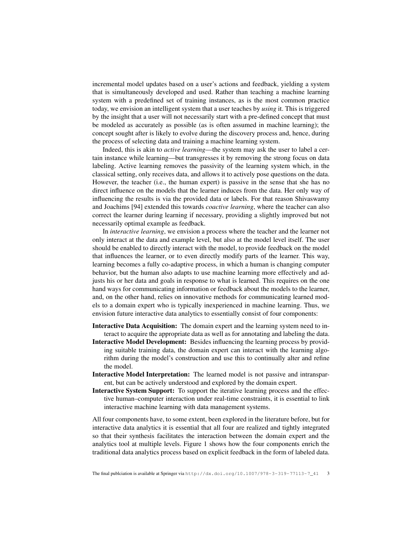incremental model updates based on a user's actions and feedback, yielding a system that is simultaneously developed and used. Rather than teaching a machine learning system with a predefined set of training instances, as is the most common practice today, we envision an intelligent system that a user teaches by *using* it. This is triggered by the insight that a user will not necessarily start with a pre-defined concept that must be modeled as accurately as possible (as is often assumed in machine learning); the concept sought after is likely to evolve during the discovery process and, hence, during the process of selecting data and training a machine learning system.

Indeed, this is akin to *active learning*—the system may ask the user to label a certain instance while learning—but transgresses it by removing the strong focus on data labeling. Active learning removes the passivity of the learning system which, in the classical setting, only receives data, and allows it to actively pose questions on the data. However, the teacher (i.e., the human expert) is passive in the sense that she has no direct influence on the models that the learner induces from the data. Her only way of influencing the results is via the provided data or labels. For that reason Shivaswamy and Joachims [\[94\]](#page-20-2) extended this towards *coactive learning*, where the teacher can also correct the learner during learning if necessary, providing a slightly improved but not necessarily optimal example as feedback.

In *interactive learning*, we envision a process where the teacher and the learner not only interact at the data and example level, but also at the model level itself. The user should be enabled to directly interact with the model, to provide feedback on the model that influences the learner, or to even directly modify parts of the learner. This way, learning becomes a fully co-adaptive process, in which a human is changing computer behavior, but the human also adapts to use machine learning more effectively and adjusts his or her data and goals in response to what is learned. This requires on the one hand ways for communicating information or feedback about the models to the learner, and, on the other hand, relies on innovative methods for communicating learned models to a domain expert who is typically inexperienced in machine learning. Thus, we envision future interactive data analytics to essentially consist of four components:

Interactive Data Acquisition: The domain expert and the learning system need to interact to acquire the appropriate data as well as for annotating and labeling the data.

- Interactive Model Development: Besides influencing the learning process by providing suitable training data, the domain expert can interact with the learning algorithm during the model's construction and use this to continually alter and refine the model.
- Interactive Model Interpretation: The learned model is not passive and intransparent, but can be actively understood and explored by the domain expert.
- Interactive System Support: To support the iterative learning process and the effective human–computer interaction under real-time constraints, it is essential to link interactive machine learning with data management systems.

All four components have, to some extent, been explored in the literature before, but for interactive data analytics it is essential that all four are realized and tightly integrated so that their synthesis facilitates the interaction between the domain expert and the analytics tool at multiple levels. Figure [1](#page-3-0) shows how the four components enrich the traditional data analytics process based on explicit feedback in the form of labeled data.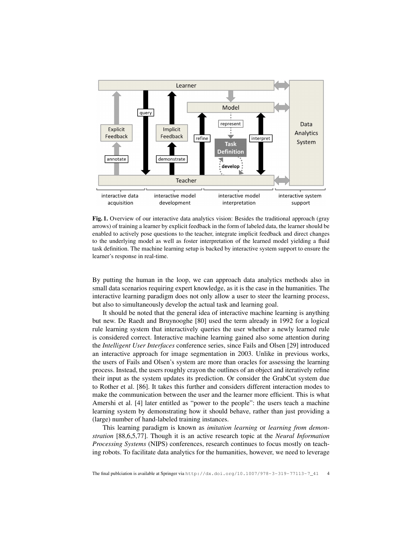

<span id="page-3-0"></span>Fig. 1. Overview of our interactive data analytics vision: Besides the traditional approach (gray arrows) of training a learner by explicit feedback in the form of labeled data, the learner should be enabled to actively pose questions to the teacher, integrate implicit feedback and direct changes to the underlying model as well as foster interpretation of the learned model yielding a fluid task definition. The machine learning setup is backed by interactive system support to ensure the learner's response in real-time.

By putting the human in the loop, we can approach data analytics methods also in small data scenarios requiring expert knowledge, as it is the case in the humanities. The interactive learning paradigm does not only allow a user to steer the learning process, but also to simultaneously develop the actual task and learning goal.

It should be noted that the general idea of interactive machine learning is anything but new. De Raedt and Bruynooghe [\[80\]](#page-19-1) used the term already in 1992 for a logical rule learning system that interactively queries the user whether a newly learned rule is considered correct. Interactive machine learning gained also some attention during the *Intelligent User Interfaces* conference series, since Fails and Olsen [\[29\]](#page-16-1) introduced an interactive approach for image segmentation in 2003. Unlike in previous works, the users of Fails and Olsen's system are more than oracles for assessing the learning process. Instead, the users roughly crayon the outlines of an object and iteratively refine their input as the system updates its prediction. Or consider the GrabCut system due to Rother et al. [\[86\]](#page-19-2). It takes this further and considers different interaction modes to make the communication between the user and the learner more efficient. This is what Amershi et al. [\[4\]](#page-15-2) later entitled as "power to the people": the users teach a machine learning system by demonstrating how it should behave, rather than just providing a (large) number of hand-labeled training instances.

This learning paradigm is known as *imitation learning* or *learning from demonstration* [\[88,](#page-19-3)[6,](#page-15-3)[5,](#page-15-4)[77\]](#page-19-4). Though it is an active research topic at the *Neural Information Processing Systems* (NIPS) conferences, research continues to focus mostly on teaching robots. To facilitate data analytics for the humanities, however, we need to leverage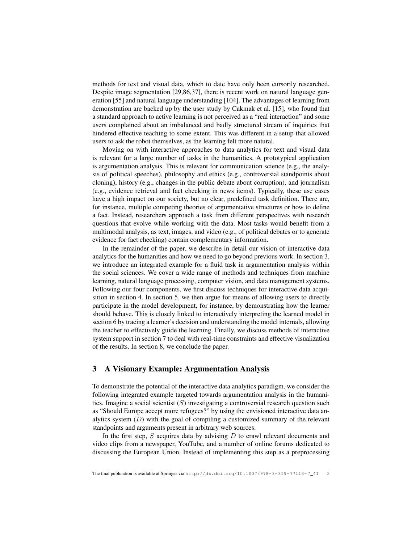methods for text and visual data, which to date have only been cursorily researched. Despite image segmentation [\[29](#page-16-1)[,86](#page-19-2)[,37\]](#page-16-2), there is recent work on natural language generation [\[55\]](#page-17-2) and natural language understanding [\[104\]](#page-20-3). The advantages of learning from demonstration are backed up by the user study by Cakmak et al. [\[15\]](#page-15-5), who found that a standard approach to active learning is not perceived as a "real interaction" and some users complained about an imbalanced and badly structured stream of inquiries that hindered effective teaching to some extent. This was different in a setup that allowed users to ask the robot themselves, as the learning felt more natural.

Moving on with interactive approaches to data analytics for text and visual data is relevant for a large number of tasks in the humanities. A prototypical application is argumentation analysis. This is relevant for communication science (e.g., the analysis of political speeches), philosophy and ethics (e.g., controversial standpoints about cloning), history (e.g., changes in the public debate about corruption), and journalism (e.g., evidence retrieval and fact checking in news items). Typically, these use cases have a high impact on our society, but no clear, predefined task definition. There are, for instance, multiple competing theories of argumentative structures or how to define a fact. Instead, researchers approach a task from different perspectives with research questions that evolve while working with the data. Most tasks would benefit from a multimodal analysis, as text, images, and video (e.g., of political debates or to generate evidence for fact checking) contain complementary information.

In the remainder of the paper, we describe in detail our vision of interactive data analytics for the humanities and how we need to go beyond previous work. In section [3,](#page-4-0) we introduce an integrated example for a fluid task in argumentation analysis within the social sciences. We cover a wide range of methods and techniques from machine learning, natural language processing, computer vision, and data management systems. Following our four components, we first discuss techniques for interactive data acquisition in section [4.](#page-5-0) In section [5,](#page-8-0) we then argue for means of allowing users to directly participate in the model development, for instance, by demonstrating how the learner should behave. This is closely linked to interactively interpreting the learned model in section [6](#page-10-0) by tracing a learner's decision and understanding the model internals, allowing the teacher to effectively guide the learning. Finally, we discuss methods of interactive system support in section [7](#page-11-0) to deal with real-time constraints and effective visualization of the results. In section [8,](#page-14-0) we conclude the paper.

# <span id="page-4-0"></span>3 A Visionary Example: Argumentation Analysis

To demonstrate the potential of the interactive data analytics paradigm, we consider the following integrated example targeted towards argumentation analysis in the humanities. Imagine a social scientist  $(S)$  investigating a controversial research question such as "Should Europe accept more refugees?" by using the envisioned interactive data analytics system  $(D)$  with the goal of compiling a customized summary of the relevant standpoints and arguments present in arbitrary web sources.

In the first step,  $S$  acquires data by advising  $D$  to crawl relevant documents and video clips from a newspaper, YouTube, and a number of online forums dedicated to discussing the European Union. Instead of implementing this step as a preprocessing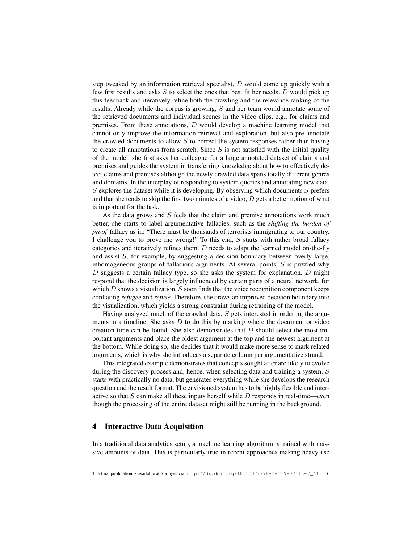step tweaked by an information retrieval specialist, D would come up quickly with a few first results and asks S to select the ones that best fit her needs. D would pick up this feedback and iteratively refine both the crawling and the relevance ranking of the results. Already while the corpus is growing, S and her team would annotate some of the retrieved documents and individual scenes in the video clips, e.g., for claims and premises. From these annotations, D would develop a machine learning model that cannot only improve the information retrieval and exploration, but also pre-annotate the crawled documents to allow  $S$  to correct the system responses rather than having to create all annotations from scratch. Since  $S$  is not satisfied with the initial quality of the model, she first asks her colleague for a large annotated dataset of claims and premises and guides the system in transferring knowledge about how to effectively detect claims and premises although the newly crawled data spans totally different genres and domains. In the interplay of responding to system queries and annotating new data,  $S$  explores the dataset while it is developing. By observing which documents  $S$  prefers and that she tends to skip the first two minutes of a video,  $D$  gets a better notion of what is important for the task.

As the data grows and  $S$  feels that the claim and premise annotations work much better, she starts to label argumentative fallacies, such as the *shifting the burden of proof* fallacy as in: "There must be thousands of terrorists immigrating to our country. I challenge you to prove me wrong!" To this end,  $S$  starts with rather broad fallacy categories and iteratively refines them. D needs to adapt the learned model on-the-fly and assist S, for example, by suggesting a decision boundary between overly large, inhomogeneous groups of fallacious arguments. At several points,  $S$  is puzzled why  $D$  suggests a certain fallacy type, so she asks the system for explanation.  $D$  might respond that the decision is largely influenced by certain parts of a neural network, for which  $D$  shows a visualization.  $S$  soon finds that the voice recognition component keeps conflating *refugee* and *refuse*. Therefore, she draws an improved decision boundary into the visualization, which yields a strong constraint during retraining of the model.

Having analyzed much of the crawled data,  $S$  gets interested in ordering the arguments in a timeline. She asks  $D$  to do this by marking where the document or video creation time can be found. She also demonstrates that  $D$  should select the most important arguments and place the oldest argument at the top and the newest argument at the bottom. While doing so, she decides that it would make more sense to mark related arguments, which is why she introduces a separate column per argumentative strand.

This integrated example demonstrates that concepts sought after are likely to evolve during the discovery process and, hence, when selecting data and training a system. S starts with practically no data, but generates everything while she develops the research question and the result format. The envisioned system has to be highly flexible and interactive so that  $S$  can make all these inputs herself while  $D$  responds in real-time—even though the processing of the entire dataset might still be running in the background.

## <span id="page-5-0"></span>4 Interactive Data Acquisition

In a traditional data analytics setup, a machine learning algorithm is trained with massive amounts of data. This is particularly true in recent approaches making heavy use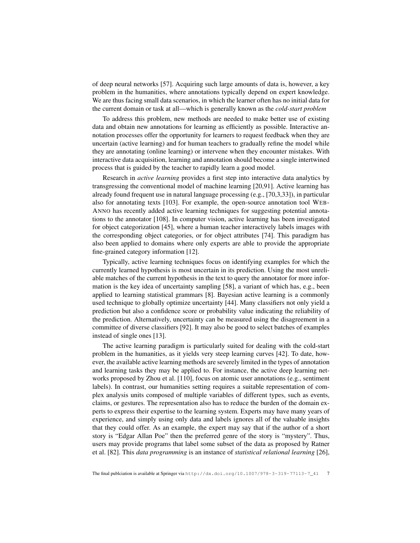of deep neural networks [\[57\]](#page-17-3). Acquiring such large amounts of data is, however, a key problem in the humanities, where annotations typically depend on expert knowledge. We are thus facing small data scenarios, in which the learner often has no initial data for the current domain or task at all—which is generally known as the *cold-start problem*

To address this problem, new methods are needed to make better use of existing data and obtain new annotations for learning as efficiently as possible. Interactive annotation processes offer the opportunity for learners to request feedback when they are uncertain (active learning) and for human teachers to gradually refine the model while they are annotating (online learning) or intervene when they encounter mistakes. With interactive data acquisition, learning and annotation should become a single intertwined process that is guided by the teacher to rapidly learn a good model.

Research in *active learning* provides a first step into interactive data analytics by transgressing the conventional model of machine learning [\[20,](#page-15-6)[91\]](#page-19-5). Active learning has already found frequent use in natural language processing (e.g., [\[70,](#page-18-0)[3,](#page-15-7)[33\]](#page-16-3)), in particular also for annotating texts [\[103\]](#page-20-4). For example, the open-source annotation tool WEB-ANNO has recently added active learning techniques for suggesting potential annotations to the annotator [\[108\]](#page-20-5). In computer vision, active learning has been investigated for object categorization [\[45\]](#page-17-4), where a human teacher interactively labels images with the corresponding object categories, or for object attributes [\[74\]](#page-18-1). This paradigm has also been applied to domains where only experts are able to provide the appropriate fine-grained category information [\[12\]](#page-15-8).

Typically, active learning techniques focus on identifying examples for which the currently learned hypothesis is most uncertain in its prediction. Using the most unreliable matches of the current hypothesis in the text to query the annotator for more information is the key idea of uncertainty sampling [\[58\]](#page-17-5), a variant of which has, e.g., been applied to learning statistical grammars [\[8\]](#page-15-9). Bayesian active learning is a commonly used technique to globally optimize uncertainty [\[44\]](#page-17-6). Many classifiers not only yield a prediction but also a confidence score or probability value indicating the reliability of the prediction. Alternatively, uncertainty can be measured using the disagreement in a committee of diverse classifiers [\[92\]](#page-19-6). It may also be good to select batches of examples instead of single ones [\[13\]](#page-15-10).

The active learning paradigm is particularly suited for dealing with the cold-start problem in the humanities, as it yields very steep learning curves [\[42\]](#page-17-7). To date, however, the available active learning methods are severely limited in the types of annotation and learning tasks they may be applied to. For instance, the active deep learning networks proposed by Zhou et al. [\[110\]](#page-20-6), focus on atomic user annotations (e.g., sentiment labels). In contrast, our humanities setting requires a suitable representation of complex analysis units composed of multiple variables of different types, such as events, claims, or gestures. The representation also has to reduce the burden of the domain experts to express their expertise to the learning system. Experts may have many years of experience, and simply using only data and labels ignores all of the valuable insights that they could offer. As an example, the expert may say that if the author of a short story is "Edgar Allan Poe" then the preferred genre of the story is "mystery". Thus, users may provide programs that label some subset of the data as proposed by Ratner et al. [\[82\]](#page-19-7). This *data programming* is an instance of *statistical relational learning* [\[26\]](#page-16-4),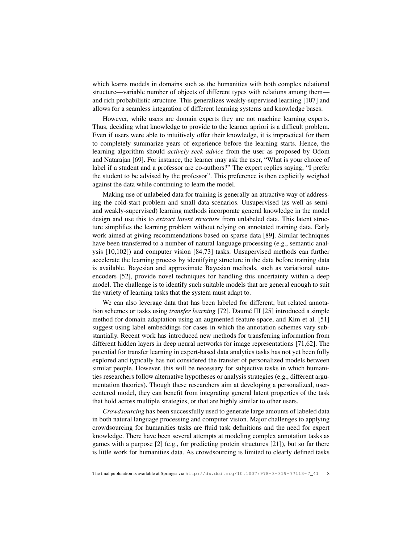which learns models in domains such as the humanities with both complex relational structure—variable number of objects of different types with relations among them and rich probabilistic structure. This generalizes weakly-supervised learning [\[107\]](#page-20-7) and allows for a seamless integration of different learning systems and knowledge bases.

However, while users are domain experts they are not machine learning experts. Thus, deciding what knowledge to provide to the learner apriori is a difficult problem. Even if users were able to intuitively offer their knowledge, it is impractical for them to completely summarize years of experience before the learning starts. Hence, the learning algorithm should *actively seek advice* from the user as proposed by Odom and Natarajan [\[69\]](#page-18-2). For instance, the learner may ask the user, "What is your choice of label if a student and a professor are co-authors?" The expert replies saying, "I prefer the student to be advised by the professor". This preference is then explicitly weighed against the data while continuing to learn the model.

Making use of unlabeled data for training is generally an attractive way of addressing the cold-start problem and small data scenarios. Unsupervised (as well as semiand weakly-supervised) learning methods incorporate general knowledge in the model design and use this to *extract latent structure* from unlabeled data. This latent structure simplifies the learning problem without relying on annotated training data. Early work aimed at giving recommendations based on sparse data [\[89\]](#page-19-8). Similar techniques have been transferred to a number of natural language processing (e.g., semantic analysis [\[10,](#page-15-11)[102\]](#page-20-8)) and computer vision [\[84,](#page-19-9)[73\]](#page-18-3) tasks. Unsupervised methods can further accelerate the learning process by identifying structure in the data before training data is available. Bayesian and approximate Bayesian methods, such as variational autoencoders [\[52\]](#page-17-8), provide novel techniques for handling this uncertainty within a deep model. The challenge is to identify such suitable models that are general enough to suit the variety of learning tasks that the system must adapt to.

We can also leverage data that has been labeled for different, but related annotation schemes or tasks using *transfer learning* [\[72\]](#page-18-4). Daumé III [[25\]](#page-16-5) introduced a simple method for domain adaptation using an augmented feature space, and Kim et al. [\[51\]](#page-17-9) suggest using label embeddings for cases in which the annotation schemes vary substantially. Recent work has introduced new methods for transferring information from different hidden layers in deep neural networks for image representations [\[71,](#page-18-5)[62\]](#page-18-6). The potential for transfer learning in expert-based data analytics tasks has not yet been fully explored and typically has not considered the transfer of personalized models between similar people. However, this will be necessary for subjective tasks in which humanities researchers follow alternative hypotheses or analysis strategies (e.g., different argumentation theories). Though these researchers aim at developing a personalized, usercentered model, they can benefit from integrating general latent properties of the task that hold across multiple strategies, or that are highly similar to other users.

*Crowdsourcing* has been successfully used to generate large amounts of labeled data in both natural language processing and computer vision. Major challenges to applying crowdsourcing for humanities tasks are fluid task definitions and the need for expert knowledge. There have been several attempts at modeling complex annotation tasks as games with a purpose [\[2\]](#page-15-1) (e.g., for predicting protein structures [\[21\]](#page-15-12)), but so far there is little work for humanities data. As crowdsourcing is limited to clearly defined tasks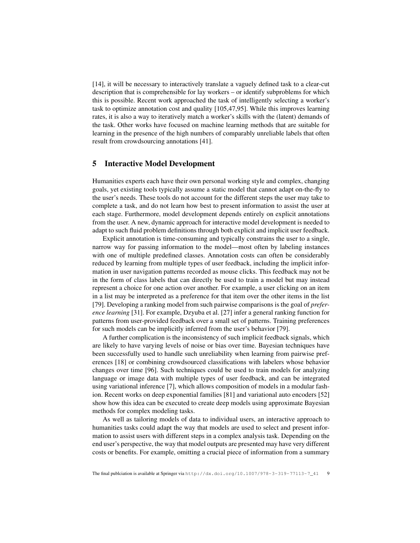[\[14\]](#page-15-13), it will be necessary to interactively translate a vaguely defined task to a clear-cut description that is comprehensible for lay workers – or identify subproblems for which this is possible. Recent work approached the task of intelligently selecting a worker's task to optimize annotation cost and quality [\[105](#page-20-9)[,47](#page-17-10)[,95\]](#page-20-10). While this improves learning rates, it is also a way to iteratively match a worker's skills with the (latent) demands of the task. Other works have focused on machine learning methods that are suitable for learning in the presence of the high numbers of comparably unreliable labels that often result from crowdsourcing annotations [\[41\]](#page-17-11).

#### <span id="page-8-0"></span>5 Interactive Model Development

Humanities experts each have their own personal working style and complex, changing goals, yet existing tools typically assume a static model that cannot adapt on-the-fly to the user's needs. These tools do not account for the different steps the user may take to complete a task, and do not learn how best to present information to assist the user at each stage. Furthermore, model development depends entirely on explicit annotations from the user. A new, dynamic approach for interactive model development is needed to adapt to such fluid problem definitions through both explicit and implicit user feedback.

Explicit annotation is time-consuming and typically constrains the user to a single, narrow way for passing information to the model—most often by labeling instances with one of multiple predefined classes. Annotation costs can often be considerably reduced by learning from multiple types of user feedback, including the implicit information in user navigation patterns recorded as mouse clicks. This feedback may not be in the form of class labels that can directly be used to train a model but may instead represent a choice for one action over another. For example, a user clicking on an item in a list may be interpreted as a preference for that item over the other items in the list [\[79\]](#page-19-10). Developing a ranking model from such pairwise comparisons is the goal of *preference learning* [\[31\]](#page-16-6). For example, Dzyuba et al. [\[27\]](#page-16-7) infer a general ranking function for patterns from user-provided feedback over a small set of patterns. Training preferences for such models can be implicitly inferred from the user's behavior [\[79\]](#page-19-10).

A further complication is the inconsistency of such implicit feedback signals, which are likely to have varying levels of noise or bias over time. Bayesian techniques have been successfully used to handle such unreliability when learning from pairwise preferences [\[18\]](#page-15-14) or combining crowdsourced classifications with labelers whose behavior changes over time [\[96\]](#page-20-11). Such techniques could be used to train models for analyzing language or image data with multiple types of user feedback, and can be integrated using variational inference [\[7\]](#page-15-15), which allows composition of models in a modular fashion. Recent works on deep exponential families [\[81\]](#page-19-11) and variational auto encoders [\[52\]](#page-17-8) show how this idea can be executed to create deep models using approximate Bayesian methods for complex modeling tasks.

As well as tailoring models of data to individual users, an interactive approach to humanities tasks could adapt the way that models are used to select and present information to assist users with different steps in a complex analysis task. Depending on the end user's perspective, the way that model outputs are presented may have very different costs or benefits. For example, omitting a crucial piece of information from a summary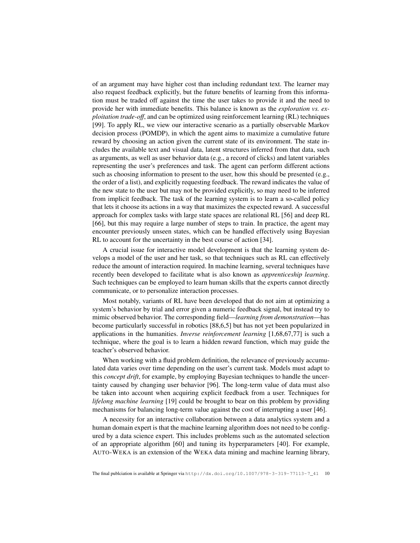of an argument may have higher cost than including redundant text. The learner may also request feedback explicitly, but the future benefits of learning from this information must be traded off against the time the user takes to provide it and the need to provide her with immediate benefits. This balance is known as the *exploration vs. exploitation trade-off*, and can be optimized using reinforcement learning (RL) techniques [\[99\]](#page-20-12). To apply RL, we view our interactive scenario as a partially observable Markov decision process (POMDP), in which the agent aims to maximize a cumulative future reward by choosing an action given the current state of its environment. The state includes the available text and visual data, latent structures inferred from that data, such as arguments, as well as user behavior data (e.g., a record of clicks) and latent variables representing the user's preferences and task. The agent can perform different actions such as choosing information to present to the user, how this should be presented (e.g., the order of a list), and explicitly requesting feedback. The reward indicates the value of the new state to the user but may not be provided explicitly, so may need to be inferred from implicit feedback. The task of the learning system is to learn a so-called policy that lets it choose its actions in a way that maximizes the expected reward. A successful approach for complex tasks with large state spaces are relational RL [\[56\]](#page-17-12) and deep RL [\[66\]](#page-18-7), but this may require a large number of steps to train. In practice, the agent may encounter previously unseen states, which can be handled effectively using Bayesian RL to account for the uncertainty in the best course of action [\[34\]](#page-16-8).

A crucial issue for interactive model development is that the learning system develops a model of the user and her task, so that techniques such as RL can effectively reduce the amount of interaction required. In machine learning, several techniques have recently been developed to facilitate what is also known as *apprenticeship learning*. Such techniques can be employed to learn human skills that the experts cannot directly communicate, or to personalize interaction processes.

Most notably, variants of RL have been developed that do not aim at optimizing a system's behavior by trial and error given a numeric feedback signal, but instead try to mimic observed behavior. The corresponding field—*learning from demonstration*—has become particularly successful in robotics [\[88,](#page-19-3)[6,](#page-15-3)[5\]](#page-15-4) but has not yet been popularized in applications in the humanities. *Inverse reinforcement learning* [\[1](#page-15-16)[,68](#page-18-8)[,67](#page-18-9)[,77\]](#page-19-4) is such a technique, where the goal is to learn a hidden reward function, which may guide the teacher's observed behavior.

When working with a fluid problem definition, the relevance of previously accumulated data varies over time depending on the user's current task. Models must adapt to this *concept drift*, for example, by employing Bayesian techniques to handle the uncertainty caused by changing user behavior [\[96\]](#page-20-11). The long-term value of data must also be taken into account when acquiring explicit feedback from a user. Techniques for *lifelong machine learning* [\[19\]](#page-15-17) could be brought to bear on this problem by providing mechanisms for balancing long-term value against the cost of interrupting a user [\[46\]](#page-17-13).

A necessity for an interactive collaboration between a data analytics system and a human domain expert is that the machine learning algorithm does not need to be configured by a data science expert. This includes problems such as the automated selection of an appropriate algorithm [\[60\]](#page-18-10) and tuning its hyperparameters [\[40\]](#page-17-14). For example, AUTO-WEKA is an extension of the WEKA data mining and machine learning library,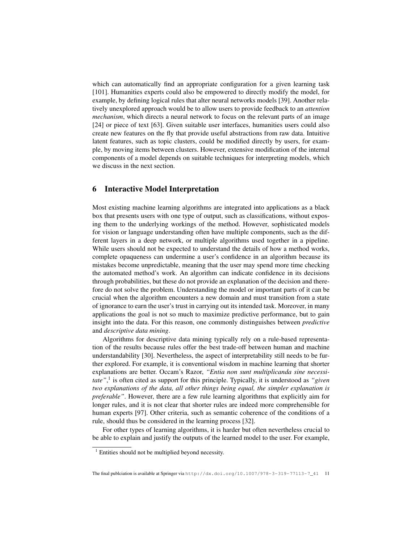which can automatically find an appropriate configuration for a given learning task [\[101\]](#page-20-13). Humanities experts could also be empowered to directly modify the model, for example, by defining logical rules that alter neural networks models [\[39\]](#page-16-9). Another relatively unexplored approach would be to allow users to provide feedback to an *attention mechanism*, which directs a neural network to focus on the relevant parts of an image [\[24\]](#page-16-10) or piece of text [\[63\]](#page-18-11). Given suitable user interfaces, humanities users could also create new features on the fly that provide useful abstractions from raw data. Intuitive latent features, such as topic clusters, could be modified directly by users, for example, by moving items between clusters. However, extensive modification of the internal components of a model depends on suitable techniques for interpreting models, which we discuss in the next section.

## <span id="page-10-0"></span>6 Interactive Model Interpretation

Most existing machine learning algorithms are integrated into applications as a black box that presents users with one type of output, such as classifications, without exposing them to the underlying workings of the method. However, sophisticated models for vision or language understanding often have multiple components, such as the different layers in a deep network, or multiple algorithms used together in a pipeline. While users should not be expected to understand the details of how a method works, complete opaqueness can undermine a user's confidence in an algorithm because its mistakes become unpredictable, meaning that the user may spend more time checking the automated method's work. An algorithm can indicate confidence in its decisions through probabilities, but these do not provide an explanation of the decision and therefore do not solve the problem. Understanding the model or important parts of it can be crucial when the algorithm encounters a new domain and must transition from a state of ignorance to earn the user's trust in carrying out its intended task. Moreover, in many applications the goal is not so much to maximize predictive performance, but to gain insight into the data. For this reason, one commonly distinguishes between *predictive* and *descriptive data mining*.

Algorithms for descriptive data mining typically rely on a rule-based representation of the results because rules offer the best trade-off between human and machine understandability [\[30\]](#page-16-11). Nevertheless, the aspect of interpretability still needs to be further explored. For example, it is conventional wisdom in machine learning that shorter explanations are better. Occam's Razor, *"Entia non sunt multiplicanda sine necessitate"*, [1](#page-10-1) is often cited as support for this principle. Typically, it is understood as *"given two explanations of the data, all other things being equal, the simpler explanation is preferable"*. However, there are a few rule learning algorithms that explicitly aim for longer rules, and it is not clear that shorter rules are indeed more comprehensible for human experts [\[97\]](#page-20-14). Other criteria, such as semantic coherence of the conditions of a rule, should thus be considered in the learning process [\[32\]](#page-16-12).

For other types of learning algorithms, it is harder but often nevertheless crucial to be able to explain and justify the outputs of the learned model to the user. For example,

<span id="page-10-1"></span> $1$  Entities should not be multiplied beyond necessity.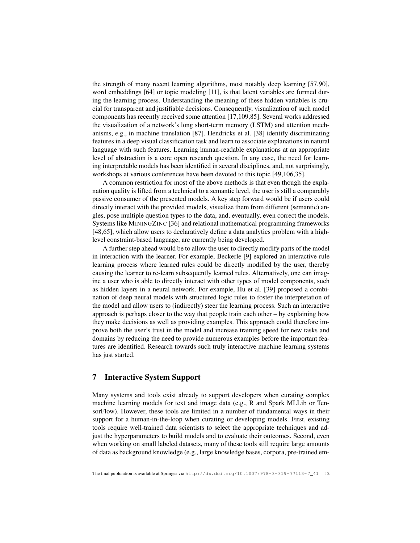the strength of many recent learning algorithms, most notably deep learning [\[57](#page-17-3)[,90\]](#page-19-12), word embeddings [\[64\]](#page-18-12) or topic modeling [\[11\]](#page-15-18), is that latent variables are formed during the learning process. Understanding the meaning of these hidden variables is crucial for transparent and justifiable decisions. Consequently, visualization of such model components has recently received some attention [\[17](#page-15-19)[,109](#page-20-1)[,85\]](#page-19-13). Several works addressed the visualization of a network's long short-term memory (LSTM) and attention mechanisms, e.g., in machine translation [\[87\]](#page-19-14). Hendricks et al. [\[38\]](#page-16-13) identify discriminating features in a deep visual classification task and learn to associate explanations in natural language with such features. Learning human-readable explanations at an appropriate level of abstraction is a core open research question. In any case, the need for learning interpretable models has been identified in several disciplines, and, not surprisingly, workshops at various conferences have been devoted to this topic [\[49](#page-17-15)[,106,](#page-20-15)[35\]](#page-16-14).

A common restriction for most of the above methods is that even though the explanation quality is lifted from a technical to a semantic level, the user is still a comparably passive consumer of the presented models. A key step forward would be if users could directly interact with the provided models, visualize them from different (semantic) angles, pose multiple question types to the data, and, eventually, even correct the models. Systems like MININGZINC [\[36\]](#page-16-15) and relational mathematical programming frameworks [\[48,](#page-17-16)[65\]](#page-18-13), which allow users to declaratively define a data analytics problem with a highlevel constraint-based language, are currently being developed.

A further step ahead would be to allow the user to directly modify parts of the model in interaction with the learner. For example, Beckerle [\[9\]](#page-15-20) explored an interactive rule learning process where learned rules could be directly modified by the user, thereby causing the learner to re-learn subsequently learned rules. Alternatively, one can imagine a user who is able to directly interact with other types of model components, such as hidden layers in a neural network. For example, Hu et al. [\[39\]](#page-16-9) proposed a combination of deep neural models with structured logic rules to foster the interpretation of the model and allow users to (indirectly) steer the learning process. Such an interactive approach is perhaps closer to the way that people train each other – by explaining how they make decisions as well as providing examples. This approach could therefore improve both the user's trust in the model and increase training speed for new tasks and domains by reducing the need to provide numerous examples before the important features are identified. Research towards such truly interactive machine learning systems has just started.

### <span id="page-11-0"></span>7 Interactive System Support

Many systems and tools exist already to support developers when curating complex machine learning models for text and image data (e.g., R and Spark MLLib or TensorFlow). However, these tools are limited in a number of fundamental ways in their support for a human-in-the-loop when curating or developing models. First, existing tools require well-trained data scientists to select the appropriate techniques and adjust the hyperparameters to build models and to evaluate their outcomes. Second, even when working on small labeled datasets, many of these tools still require large amounts of data as background knowledge (e.g., large knowledge bases, corpora, pre-trained em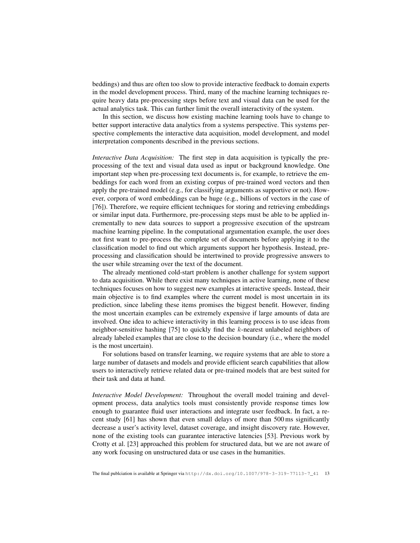beddings) and thus are often too slow to provide interactive feedback to domain experts in the model development process. Third, many of the machine learning techniques require heavy data pre-processing steps before text and visual data can be used for the actual analytics task. This can further limit the overall interactivity of the system.

In this section, we discuss how existing machine learning tools have to change to better support interactive data analytics from a systems perspective. This systems perspective complements the interactive data acquisition, model development, and model interpretation components described in the previous sections.

*Interactive Data Acquisition:* The first step in data acquisition is typically the preprocessing of the text and visual data used as input or background knowledge. One important step when pre-processing text documents is, for example, to retrieve the embeddings for each word from an existing corpus of pre-trained word vectors and then apply the pre-trained model (e.g., for classifying arguments as supportive or not). However, corpora of word embeddings can be huge (e.g., billions of vectors in the case of [\[76\]](#page-19-15)). Therefore, we require efficient techniques for storing and retrieving embeddings or similar input data. Furthermore, pre-processing steps must be able to be applied incrementally to new data sources to support a progressive execution of the upstream machine learning pipeline. In the computational argumentation example, the user does not first want to pre-process the complete set of documents before applying it to the classification model to find out which arguments support her hypothesis. Instead, preprocessing and classification should be intertwined to provide progressive answers to the user while streaming over the text of the document.

The already mentioned cold-start problem is another challenge for system support to data acquisition. While there exist many techniques in active learning, none of these techniques focuses on how to suggest new examples at interactive speeds. Instead, their main objective is to find examples where the current model is most uncertain in its prediction, since labeling these items promises the biggest benefit. However, finding the most uncertain examples can be extremely expensive if large amounts of data are involved. One idea to achieve interactivity in this learning process is to use ideas from neighbor-sensitive hashing [\[75\]](#page-18-14) to quickly find the  $k$ -nearest unlabeled neighbors of already labeled examples that are close to the decision boundary (i.e., where the model is the most uncertain).

For solutions based on transfer learning, we require systems that are able to store a large number of datasets and models and provide efficient search capabilities that allow users to interactively retrieve related data or pre-trained models that are best suited for their task and data at hand.

*Interactive Model Development:* Throughout the overall model training and development process, data analytics tools must consistently provide response times low enough to guarantee fluid user interactions and integrate user feedback. In fact, a recent study [\[61\]](#page-18-15) has shown that even small delays of more than 500 ms significantly decrease a user's activity level, dataset coverage, and insight discovery rate. However, none of the existing tools can guarantee interactive latencies [\[53\]](#page-17-17). Previous work by Crotty et al. [\[23\]](#page-16-16) approached this problem for structured data, but we are not aware of any work focusing on unstructured data or use cases in the humanities.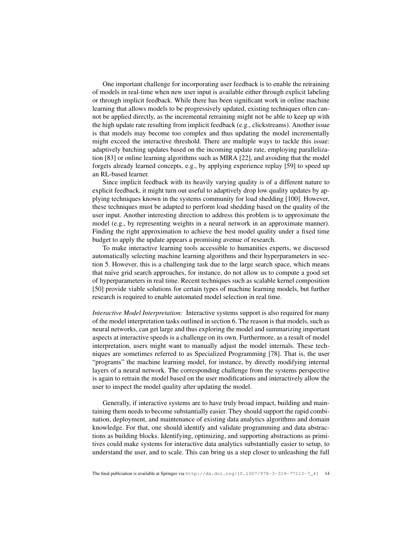One important challenge for incorporating user feedback is to enable the retraining of models in real-time when new user input is available either through explicit labeling or through implicit feedback. While there has been significant work in online machine learning that allows models to be progressively updated, existing techniques often cannot be applied directly, as the incremental retraining might not be able to keep up with the high update rate resulting from implicit feedback (e.g., clickstreams). Another issue is that models may become too complex and thus updating the model incrementally might exceed the interactive threshold. There are multiple ways to tackle this issue: adaptively batching updates based on the incoming update rate, employing parallelization [\[83\]](#page-19-16) or online learning algorithms such as MIRA [\[22\]](#page-16-17), and avoiding that the model forgets already learned concepts, e.g., by applying experience replay [\[59\]](#page-18-16) to speed up an RL-based learner.

Since implicit feedback with its heavily varying quality is of a different nature to explicit feedback, it might turn out useful to adaptively drop low quality updates by applying techniques known in the systems community for load shedding [\[100\]](#page-20-16). However, these techniques must be adapted to perform load shedding based on the quality of the user input. Another interesting direction to address this problem is to approximate the model (e.g., by representing weights in a neural network in an approximate manner). Finding the right approximation to achieve the best model quality under a fixed time budget to apply the update appears a promising avenue of research.

To make interactive learning tools accessible to humanities experts, we discussed automatically selecting machine learning algorithms and their hyperparameters in section [5.](#page-8-0) However, this is a challenging task due to the large search space, which means that naïve grid search approaches, for instance, do not allow us to compute a good set of hyperparameters in real time. Recent techniques such as scalable kernel composition [\[50\]](#page-17-18) provide viable solutions for certain types of machine learning models, but further research is required to enable automated model selection in real time.

*Interactive Model Interpretation:* Interactive systems support is also required for many of the model interpretation tasks outlined in section [6.](#page-10-0) The reason is that models, such as neural networks, can get large and thus exploring the model and summarizing important aspects at interactive speeds is a challenge on its own. Furthermore, as a result of model interpretation, users might want to manually adjust the model internals. These techniques are sometimes referred to as Specialized Programming [\[78\]](#page-19-17). That is, the user "programs" the machine learning model, for instance, by directly modifying internal layers of a neural network. The corresponding challenge from the systems perspective is again to retrain the model based on the user modifications and interactively allow the user to inspect the model quality after updating the model.

Generally, if interactive systems are to have truly broad impact, building and maintaining them needs to become substantially easier. They should support the rapid combination, deployment, and maintenance of existing data analytics algorithms and domain knowledge. For that, one should identify and validate programming and data abstractions as building blocks. Identifying, optimizing, and supporting abstractions as primitives could make systems for interactive data analytics substantially easier to setup, to understand the user, and to scale. This can bring us a step closer to unleashing the full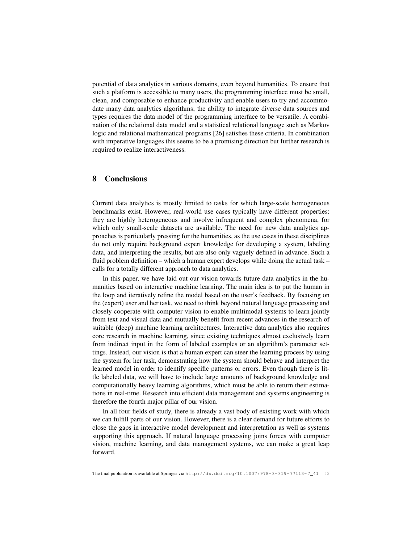potential of data analytics in various domains, even beyond humanities. To ensure that such a platform is accessible to many users, the programming interface must be small, clean, and composable to enhance productivity and enable users to try and accommodate many data analytics algorithms; the ability to integrate diverse data sources and types requires the data model of the programming interface to be versatile. A combination of the relational data model and a statistical relational language such as Markov logic and relational mathematical programs [\[26\]](#page-16-4) satisfies these criteria. In combination with imperative languages this seems to be a promising direction but further research is required to realize interactiveness.

### <span id="page-14-0"></span>8 Conclusions

Current data analytics is mostly limited to tasks for which large-scale homogeneous benchmarks exist. However, real-world use cases typically have different properties: they are highly heterogeneous and involve infrequent and complex phenomena, for which only small-scale datasets are available. The need for new data analytics approaches is particularly pressing for the humanities, as the use cases in these disciplines do not only require background expert knowledge for developing a system, labeling data, and interpreting the results, but are also only vaguely defined in advance. Such a fluid problem definition – which a human expert develops while doing the actual task – calls for a totally different approach to data analytics.

In this paper, we have laid out our vision towards future data analytics in the humanities based on interactive machine learning. The main idea is to put the human in the loop and iteratively refine the model based on the user's feedback. By focusing on the (expert) user and her task, we need to think beyond natural language processing and closely cooperate with computer vision to enable multimodal systems to learn jointly from text and visual data and mutually benefit from recent advances in the research of suitable (deep) machine learning architectures. Interactive data analytics also requires core research in machine learning, since existing techniques almost exclusively learn from indirect input in the form of labeled examples or an algorithm's parameter settings. Instead, our vision is that a human expert can steer the learning process by using the system for her task, demonstrating how the system should behave and interpret the learned model in order to identify specific patterns or errors. Even though there is little labeled data, we will have to include large amounts of background knowledge and computationally heavy learning algorithms, which must be able to return their estimations in real-time. Research into efficient data management and systems engineering is therefore the fourth major pillar of our vision.

In all four fields of study, there is already a vast body of existing work with which we can fulfill parts of our vision. However, there is a clear demand for future efforts to close the gaps in interactive model development and interpretation as well as systems supporting this approach. If natural language processing joins forces with computer vision, machine learning, and data management systems, we can make a great leap forward.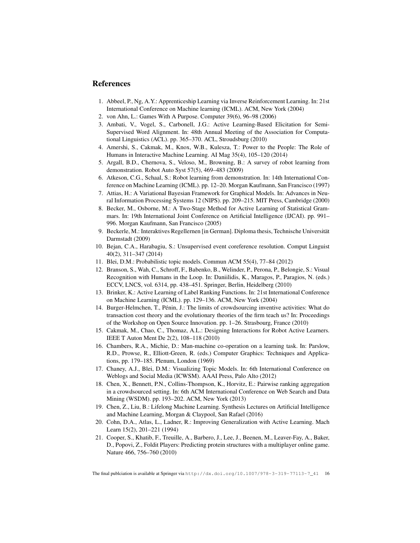## References

- <span id="page-15-16"></span>1. Abbeel, P., Ng, A.Y.: Apprenticeship Learning via Inverse Reinforcement Learning. In: 21st International Conference on Machine learning (ICML). ACM, New York (2004)
- <span id="page-15-1"></span>2. von Ahn, L.: Games With A Purpose. Computer 39(6), 96–98 (2006)
- <span id="page-15-7"></span>3. Ambati, V., Vogel, S., Carbonell, J.G.: Active Learning-Based Elicitation for Semi-Supervised Word Alignment. In: 48th Annual Meeting of the Association for Computational Linguistics (ACL). pp. 365–370. ACL, Stroudsburg (2010)
- <span id="page-15-2"></span>4. Amershi, S., Cakmak, M., Knox, W.B., Kulesza, T.: Power to the People: The Role of Humans in Interactive Machine Learning. AI Mag 35(4), 105–120 (2014)
- <span id="page-15-4"></span>5. Argall, B.D., Chernova, S., Veloso, M., Browning, B.: A survey of robot learning from demonstration. Robot Auto Syst 57(5), 469–483 (2009)
- <span id="page-15-3"></span>6. Atkeson, C.G., Schaal, S.: Robot learning from demonstration. In: 14th International Conference on Machine Learning (ICML). pp. 12–20. Morgan Kaufmann, San Francisco (1997)
- <span id="page-15-15"></span>7. Attias, H.: A Variational Bayesian Framework for Graphical Models. In: Advances in Neural Information Processing Systems 12 (NIPS). pp. 209–215. MIT Press, Cambridge (2000)
- <span id="page-15-9"></span>8. Becker, M., Osborne, M.: A Two-Stage Method for Active Learning of Statistical Grammars. In: 19th International Joint Conference on Artificial Intelligence (IJCAI). pp. 991– 996. Morgan Kaufmann, San Francisco (2005)
- <span id="page-15-20"></span>9. Beckerle, M.: Interaktives Regellernen [in German]. Diploma thesis, Technische Universität Darmstadt (2009)
- <span id="page-15-11"></span>10. Bejan, C.A., Harabagiu, S.: Unsupervised event coreference resolution. Comput Linguist 40(2), 311–347 (2014)
- <span id="page-15-18"></span>11. Blei, D.M.: Probabilistic topic models. Commun ACM 55(4), 77–84 (2012)
- <span id="page-15-8"></span>12. Branson, S., Wah, C., Schroff, F., Babenko, B., Welinder, P., Perona, P., Belongie, S.: Visual Recognition with Humans in the Loop. In: Daniilidis, K., Maragos, P., Paragios, N. (eds.) ECCV, LNCS, vol. 6314, pp. 438–451. Springer, Berlin, Heidelberg (2010)
- <span id="page-15-10"></span>13. Brinker, K.: Active Learning of Label Ranking Functions. In: 21st International Conference on Machine Learning (ICML). pp. 129–136. ACM, New York (2004)
- <span id="page-15-13"></span>14. Burger-Helmchen, T., Penin, J.: The limits of crowdsourcing inventive activities: What do ´ transaction cost theory and the evolutionary theories of the firm teach us? In: Proceedings of the Workshop on Open Source Innovation. pp. 1–26. Strasbourg, France (2010)
- <span id="page-15-5"></span>15. Cakmak, M., Chao, C., Thomaz, A.L.: Designing Interactions for Robot Active Learners. IEEE T Auton Ment De 2(2), 108–118 (2010)
- <span id="page-15-0"></span>16. Chambers, R.A., Michie, D.: Man-machine co-operation on a learning task. In: Parslow, R.D., Prowse, R., Elliott-Green, R. (eds.) Computer Graphics: Techniques and Applications, pp. 179–185. Plenum, London (1969)
- <span id="page-15-19"></span>17. Chaney, A.J., Blei, D.M.: Visualizing Topic Models. In: 6th International Conference on Weblogs and Social Media (ICWSM). AAAI Press, Palo Alto (2012)
- <span id="page-15-14"></span>18. Chen, X., Bennett, P.N., Collins-Thompson, K., Horvitz, E.: Pairwise ranking aggregation in a crowdsourced setting. In: 6th ACM International Conference on Web Search and Data Mining (WSDM). pp. 193–202. ACM, New York (2013)
- <span id="page-15-17"></span>19. Chen, Z., Liu, B.: Lifelong Machine Learning. Synthesis Lectures on Artificial Intelligence and Machine Learning, Morgan & Claypool, San Rafael (2016)
- <span id="page-15-6"></span>20. Cohn, D.A., Atlas, L., Ladner, R.: Improving Generalization with Active Learning. Mach Learn 15(2), 201–221 (1994)
- <span id="page-15-12"></span>21. Cooper, S., Khatib, F., Treuille, A., Barbero, J., Lee, J., Beenen, M., Leaver-Fay, A., Baker, D., Popovi, Z., Foldit Players: Predicting protein structures with a multiplayer online game. Nature 466, 756–760 (2010)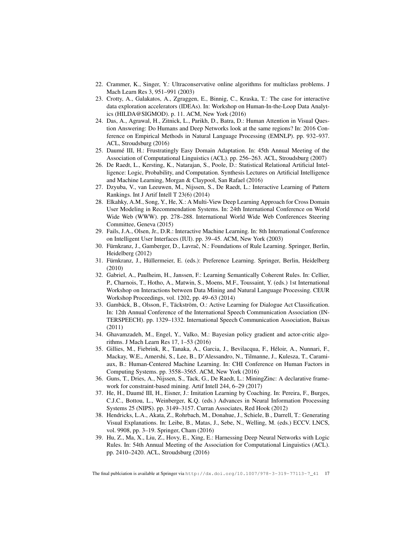- <span id="page-16-17"></span>22. Crammer, K., Singer, Y.: Ultraconservative online algorithms for multiclass problems. J Mach Learn Res 3, 951–991 (2003)
- <span id="page-16-16"></span>23. Crotty, A., Galakatos, A., Zgraggen, E., Binnig, C., Kraska, T.: The case for interactive data exploration accelerators (IDEAs). In: Workshop on Human-In-the-Loop Data Analytics (HILDA@SIGMOD). p. 11. ACM, New York (2016)
- <span id="page-16-10"></span>24. Das, A., Agrawal, H., Zitnick, L., Parikh, D., Batra, D.: Human Attention in Visual Question Answering: Do Humans and Deep Networks look at the same regions? In: 2016 Conference on Empirical Methods in Natural Language Processing (EMNLP). pp. 932–937. ACL, Stroudsburg (2016)
- <span id="page-16-5"></span>25. Daumé III, H.: Frustratingly Easy Domain Adaptation. In: 45th Annual Meeting of the Association of Computational Linguistics (ACL). pp. 256–263. ACL, Stroudsburg (2007)
- <span id="page-16-4"></span>26. De Raedt, L., Kersting, K., Natarajan, S., Poole, D.: Statistical Relational Artificial Intelligence: Logic, Probability, and Computation. Synthesis Lectures on Artificial Intelligence and Machine Learning, Morgan & Claypool, San Rafael (2016)
- <span id="page-16-7"></span>27. Dzyuba, V., van Leeuwen, M., Nijssen, S., De Raedt, L.: Interactive Learning of Pattern Rankings. Int J Artif Intell T 23(6) (2014)
- <span id="page-16-0"></span>28. Elkahky, A.M., Song, Y., He, X.: A Multi-View Deep Learning Approach for Cross Domain User Modeling in Recommendation Systems. In: 24th International Conference on World Wide Web (WWW). pp. 278–288. International World Wide Web Conferences Steering Committee, Geneva (2015)
- <span id="page-16-1"></span>29. Fails, J.A., Olsen, Jr., D.R.: Interactive Machine Learning. In: 8th International Conference on Intelligent User Interfaces (IUI). pp. 39–45. ACM, New York (2003)
- <span id="page-16-11"></span>30. Fürnkranz, J., Gamberger, D., Lavrač, N.: Foundations of Rule Learning. Springer, Berlin, Heidelberg (2012)
- <span id="page-16-6"></span>31. Fürnkranz, J., Hüllermeier, E. (eds.): Preference Learning. Springer, Berlin, Heidelberg (2010)
- <span id="page-16-12"></span>32. Gabriel, A., Paulheim, H., Janssen, F.: Learning Semantically Coherent Rules. In: Cellier, P., Charnois, T., Hotho, A., Matwin, S., Moens, M.F., Toussaint, Y. (eds.) 1st International Workshop on Interactions between Data Mining and Natural Language Processing. CEUR Workshop Proceedings, vol. 1202, pp. 49–63 (2014)
- <span id="page-16-3"></span>33. Gambäck, B., Olsson, F., Täckström, O.: Active Learning for Dialogue Act Classification. In: 12th Annual Conference of the International Speech Communication Association (IN-TERSPEECH). pp. 1329–1332. International Speech Communication Association, Baixas (2011)
- <span id="page-16-8"></span>34. Ghavamzadeh, M., Engel, Y., Valko, M.: Bayesian policy gradient and actor-critic algorithms. J Mach Learn Res 17, 1–53 (2016)
- <span id="page-16-14"></span>35. Gillies, M., Fiebrink, R., Tanaka, A., Garcia, J., Bevilacqua, F., Heloir, A., Nunnari, F., ´ Mackay, W.E., Amershi, S., Lee, B., D'Alessandro, N., Tilmanne, J., Kulesza, T., Caramiaux, B.: Human-Centered Machine Learning. In: CHI Conference on Human Factors in Computing Systems. pp. 3558–3565. ACM, New York (2016)
- <span id="page-16-15"></span>36. Guns, T., Dries, A., Nijssen, S., Tack, G., De Raedt, L.: MiningZinc: A declarative framework for constraint-based mining. Artif Intell 244, 6–29 (2017)
- <span id="page-16-2"></span>37. He, H., Daumé III, H., Eisner, J.: Imitation Learning by Coaching. In: Pereira, F., Burges, C.J.C., Bottou, L., Weinberger, K.Q. (eds.) Advances in Neural Information Processing Systems 25 (NIPS). pp. 3149–3157. Curran Associates, Red Hook (2012)
- <span id="page-16-13"></span>38. Hendricks, L.A., Akata, Z., Rohrbach, M., Donahue, J., Schiele, B., Darrell, T.: Generating Visual Explanations. In: Leibe, B., Matas, J., Sebe, N., Welling, M. (eds.) ECCV. LNCS, vol. 9908, pp. 3–19. Springer, Cham (2016)
- <span id="page-16-9"></span>39. Hu, Z., Ma, X., Liu, Z., Hovy, E., Xing, E.: Harnessing Deep Neural Networks with Logic Rules. In: 54th Annual Meeting of the Association for Computational Linguistics (ACL). pp. 2410–2420. ACL, Stroudsburg (2016)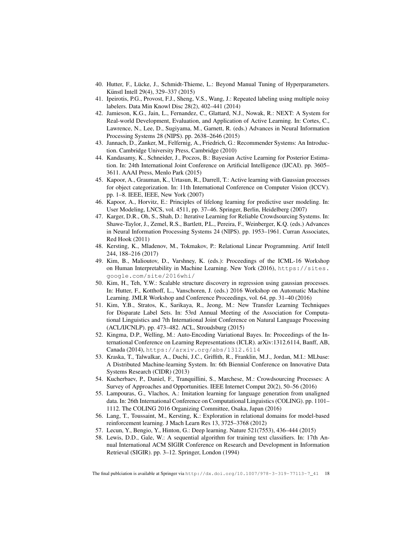- <span id="page-17-14"></span>40. Hutter, F., Lücke, J., Schmidt-Thieme, L.: Beyond Manual Tuning of Hyperparameters. Künstl Intell 29(4), 329–337 (2015)
- <span id="page-17-11"></span>41. Ipeirotis, P.G., Provost, F.J., Sheng, V.S., Wang, J.: Repeated labeling using multiple noisy labelers. Data Min Knowl Disc 28(2), 402–441 (2014)
- <span id="page-17-7"></span>42. Jamieson, K.G., Jain, L., Fernandez, C., Glattard, N.J., Nowak, R.: NEXT: A System for Real-world Development, Evaluation, and Application of Active Learning. In: Cortes, C., Lawrence, N., Lee, D., Sugiyama, M., Garnett, R. (eds.) Advances in Neural Information Processing Systems 28 (NIPS). pp. 2638–2646 (2015)
- <span id="page-17-0"></span>43. Jannach, D., Zanker, M., Felfernig, A., Friedrich, G.: Recommender Systems: An Introduction. Cambridge University Press, Cambridge (2010)
- <span id="page-17-6"></span>44. Kandasamy, K., Schneider, J., Poczos, B.: Bayesian Active Learning for Posterior Estimation. In: 24th International Joint Conference on Artificial Intelligence (IJCAI). pp. 3605– 3611. AAAI Press, Menlo Park (2015)
- <span id="page-17-4"></span>45. Kapoor, A., Grauman, K., Urtasun, R., Darrell, T.: Active learning with Gaussian processes for object categorization. In: 11th International Conference on Computer Vision (ICCV). pp. 1–8. IEEE, IEEE, New York (2007)
- <span id="page-17-13"></span>46. Kapoor, A., Horvitz, E.: Principles of lifelong learning for predictive user modeling. In: User Modeling, LNCS, vol. 4511, pp. 37–46. Springer, Berlin, Heidelberg (2007)
- <span id="page-17-10"></span>47. Karger, D.R., Oh, S., Shah, D.: Iterative Learning for Reliable Crowdsourcing Systems. In: Shawe-Taylor, J., Zemel, R.S., Bartlett, P.L., Pereira, F., Weinberger, K.Q. (eds.) Advances in Neural Information Processing Systems 24 (NIPS). pp. 1953–1961. Curran Associates, Red Hook (2011)
- <span id="page-17-16"></span>48. Kersting, K., Mladenov, M., Tokmakov, P.: Relational Linear Programming. Artif Intell 244, 188–216 (2017)
- <span id="page-17-15"></span>49. Kim, B., Malioutov, D., Varshney, K. (eds.): Proceedings of the ICML-16 Workshop on Human Interpretability in Machine Learning. New York (2016), [https://sites.](https://sites.google.com/site/2016whi/) [google.com/site/2016whi/](https://sites.google.com/site/2016whi/)
- <span id="page-17-18"></span>50. Kim, H., Teh, Y.W.: Scalable structure discovery in regression using gaussian processes. In: Hutter, F., Kotthoff, L., Vanschoren, J. (eds.) 2016 Workshop on Automatic Machine Learning. JMLR Workshop and Conference Proceedings, vol. 64, pp. 31–40 (2016)
- <span id="page-17-9"></span>51. Kim, Y.B., Stratos, K., Sarikaya, R., Jeong, M.: New Transfer Learning Techniques for Disparate Label Sets. In: 53rd Annual Meeting of the Association for Computational Linguistics and 7th International Joint Conference on Natural Language Processing (ACL/IJCNLP). pp. 473–482. ACL, Stroudsburg (2015)
- <span id="page-17-8"></span>52. Kingma, D.P., Welling, M.: Auto-Encoding Variational Bayes. In: Proceedings of the International Conference on Learning Representations (ICLR). arXiv:1312.6114, Banff, AB, Canada (2014), <https://arxiv.org/abs/1312.6114>
- <span id="page-17-17"></span>53. Kraska, T., Talwalkar, A., Duchi, J.C., Griffith, R., Franklin, M.J., Jordan, M.I.: MLbase: A Distributed Machine-learning System. In: 6th Biennial Conference on Innovative Data Systems Research (CIDR) (2013)
- <span id="page-17-1"></span>54. Kucherbaev, P., Daniel, F., Tranquillini, S., Marchese, M.: Crowdsourcing Processes: A Survey of Approaches and Opportunities. IEEE Internet Comput 20(2), 50–56 (2016)
- <span id="page-17-2"></span>55. Lampouras, G., Vlachos, A.: Imitation learning for language generation from unaligned data. In: 26th International Conference on Computational Linguistics (COLING). pp. 1101– 1112. The COLING 2016 Organizing Committee, Osaka, Japan (2016)
- <span id="page-17-12"></span>56. Lang, T., Toussaint, M., Kersting, K.: Exploration in relational domains for model-based reinforcement learning. J Mach Learn Res 13, 3725–3768 (2012)
- <span id="page-17-3"></span>57. Lecun, Y., Bengio, Y., Hinton, G.: Deep learning. Nature 521(7553), 436–444 (2015)
- <span id="page-17-5"></span>58. Lewis, D.D., Gale, W.: A sequential algorithm for training text classifiers. In: 17th Annual International ACM SIGIR Conference on Research and Development in Information Retrieval (SIGIR). pp. 3–12. Springer, London (1994)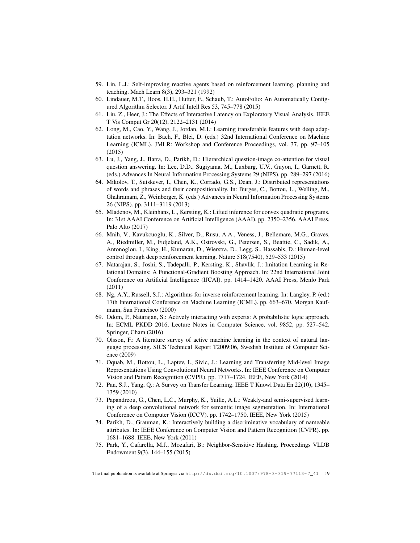- <span id="page-18-16"></span>59. Lin, L.J.: Self-improving reactive agents based on reinforcement learning, planning and teaching. Mach Learn 8(3), 293–321 (1992)
- <span id="page-18-10"></span>60. Lindauer, M.T., Hoos, H.H., Hutter, F., Schaub, T.: AutoFolio: An Automatically Configured Algorithm Selector. J Artif Intell Res 53, 745–778 (2015)
- <span id="page-18-15"></span>61. Liu, Z., Heer, J.: The Effects of Interactive Latency on Exploratory Visual Analysis. IEEE T Vis Comput Gr 20(12), 2122–2131 (2014)
- <span id="page-18-6"></span>62. Long, M., Cao, Y., Wang, J., Jordan, M.I.: Learning transferable features with deep adaptation networks. In: Bach, F., Blei, D. (eds.) 32nd International Conference on Machine Learning (ICML). JMLR: Workshop and Conference Proceedings, vol. 37, pp. 97–105 (2015)
- <span id="page-18-11"></span>63. Lu, J., Yang, J., Batra, D., Parikh, D.: Hierarchical question-image co-attention for visual question answering. In: Lee, D.D., Sugiyama, M., Luxburg, U.V., Guyon, I., Garnett, R. (eds.) Advances In Neural Information Processing Systems 29 (NIPS). pp. 289–297 (2016)
- <span id="page-18-12"></span>64. Mikolov, T., Sutskever, I., Chen, K., Corrado, G.S., Dean, J.: Distributed representations of words and phrases and their compositionality. In: Burges, C., Bottou, L., Welling, M., Ghahramani, Z., Weinberger, K. (eds.) Advances in Neural Information Processing Systems 26 (NIPS). pp. 3111–3119 (2013)
- <span id="page-18-13"></span>65. Mladenov, M., Kleinhans, L., Kersting, K.: Lifted inference for convex quadratic programs. In: 31st AAAI Conference on Artificial Intelligence (AAAI). pp. 2350–2356. AAAI Press, Palo Alto (2017)
- <span id="page-18-7"></span>66. Mnih, V., Kavukcuoglu, K., Silver, D., Rusu, A.A., Veness, J., Bellemare, M.G., Graves, A., Riedmiller, M., Fidjeland, A.K., Ostrovski, G., Petersen, S., Beattie, C., Sadik, A., Antonoglou, I., King, H., Kumaran, D., Wierstra, D., Legg, S., Hassabis, D.: Human-level control through deep reinforcement learning. Nature 518(7540), 529–533 (2015)
- <span id="page-18-9"></span>67. Natarajan, S., Joshi, S., Tadepalli, P., Kersting, K., Shavlik, J.: Imitation Learning in Relational Domains: A Functional-Gradient Boosting Approach. In: 22nd International Joint Conference on Artificial Intelligence (IJCAI). pp. 1414–1420. AAAI Press, Menlo Park (2011)
- <span id="page-18-8"></span>68. Ng, A.Y., Russell, S.J.: Algorithms for inverse reinforcement learning. In: Langley, P. (ed.) 17th International Conference on Machine Learning (ICML). pp. 663–670. Morgan Kaufmann, San Francisco (2000)
- <span id="page-18-2"></span>69. Odom, P., Natarajan, S.: Actively interacting with experts: A probabilistic logic approach. In: ECML PKDD 2016, Lecture Notes in Computer Science, vol. 9852, pp. 527–542. Springer, Cham (2016)
- <span id="page-18-0"></span>70. Olsson, F.: A literature survey of active machine learning in the context of natural language processing. SICS Technical Report T2009:06, Swedish Institute of Computer Science (2009)
- <span id="page-18-5"></span>71. Oquab, M., Bottou, L., Laptev, I., Sivic, J.: Learning and Transferring Mid-level Image Representations Using Convolutional Neural Networks. In: IEEE Conference on Computer Vision and Pattern Recognition (CVPR). pp. 1717–1724. IEEE, New York (2014)
- <span id="page-18-4"></span>72. Pan, S.J., Yang, Q.: A Survey on Transfer Learning. IEEE T Knowl Data En 22(10), 1345– 1359 (2010)
- <span id="page-18-3"></span>73. Papandreou, G., Chen, L.C., Murphy, K., Yuille, A.L.: Weakly-and semi-supervised learning of a deep convolutional network for semantic image segmentation. In: International Conference on Computer Vision (ICCV). pp. 1742–1750. IEEE, New York (2015)
- <span id="page-18-1"></span>74. Parikh, D., Grauman, K.: Interactively building a discriminative vocabulary of nameable attributes. In: IEEE Conference on Computer Vision and Pattern Recognition (CVPR). pp. 1681–1688. IEEE, New York (2011)
- <span id="page-18-14"></span>75. Park, Y., Cafarella, M.J., Mozafari, B.: Neighbor-Sensitive Hashing. Proceedings VLDB Endowment 9(3), 144–155 (2015)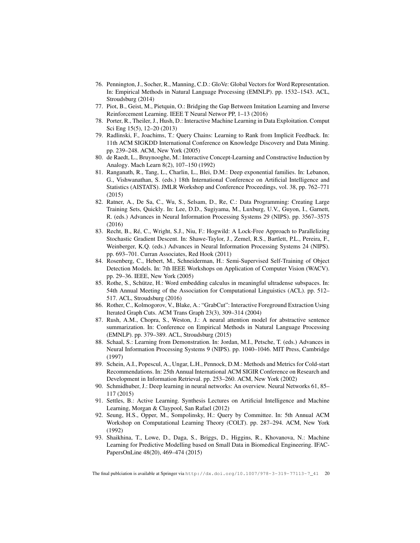- <span id="page-19-15"></span>76. Pennington, J., Socher, R., Manning, C.D.: GloVe: Global Vectors for Word Representation. In: Empirical Methods in Natural Language Processing (EMNLP). pp. 1532–1543. ACL, Stroudsburg (2014)
- <span id="page-19-4"></span>77. Piot, B., Geist, M., Pietquin, O.: Bridging the Gap Between Imitation Learning and Inverse Reinforcement Learning. IEEE T Neural Networ PP, 1–13 (2016)
- <span id="page-19-17"></span>78. Porter, R., Theiler, J., Hush, D.: Interactive Machine Learning in Data Exploitation. Comput Sci Eng 15(5), 12–20 (2013)
- <span id="page-19-10"></span>79. Radlinski, F., Joachims, T.: Query Chains: Learning to Rank from Implicit Feedback. In: 11th ACM SIGKDD International Conference on Knowledge Discovery and Data Mining. pp. 239–248. ACM, New York (2005)
- <span id="page-19-1"></span>80. de Raedt, L., Bruynooghe, M.: Interactive Concept-Learning and Constructive Induction by Analogy. Mach Learn 8(2), 107–150 (1992)
- <span id="page-19-11"></span>81. Ranganath, R., Tang, L., Charlin, L., Blei, D.M.: Deep exponential families. In: Lebanon, G., Vishwanathan, S. (eds.) 18th International Conference on Artificial Intelligence and Statistics (AISTATS). JMLR Workshop and Conference Proceedings, vol. 38, pp. 762–771 (2015)
- <span id="page-19-7"></span>82. Ratner, A., De Sa, C., Wu, S., Selsam, D., Re, C.: Data Programming: Creating Large Training Sets, Quickly. In: Lee, D.D., Sugiyama, M., Luxburg, U.V., Guyon, I., Garnett, R. (eds.) Advances in Neural Information Processing Systems 29 (NIPS). pp. 3567–3575 (2016)
- <span id="page-19-16"></span>83. Recht, B., Re, C., Wright, S.J., Niu, F.: Hogwild: A Lock-Free Approach to Parallelizing ´ Stochastic Gradient Descent. In: Shawe-Taylor, J., Zemel, R.S., Bartlett, P.L., Pereira, F., Weinberger, K.Q. (eds.) Advances in Neural Information Processing Systems 24 (NIPS). pp. 693–701. Curran Associates, Red Hook (2011)
- <span id="page-19-9"></span>84. Rosenberg, C., Hebert, M., Schneiderman, H.: Semi-Supervised Self-Training of Object Detection Models. In: 7th IEEE Workshops on Application of Computer Vision (WACV). pp. 29–36. IEEE, New York (2005)
- <span id="page-19-13"></span>85. Rothe, S., Schütze, H.: Word embedding calculus in meaningful ultradense subspaces. In: 54th Annual Meeting of the Association for Computational Linguistics (ACL). pp. 512– 517. ACL, Stroudsburg (2016)
- <span id="page-19-2"></span>86. Rother, C., Kolmogorov, V., Blake, A.: "GrabCut": Interactive Foreground Extraction Using Iterated Graph Cuts. ACM Trans Graph 23(3), 309–314 (2004)
- <span id="page-19-14"></span>87. Rush, A.M., Chopra, S., Weston, J.: A neural attention model for abstractive sentence summarization. In: Conference on Empirical Methods in Natural Language Processing (EMNLP). pp. 379–389. ACL, Stroudsburg (2015)
- <span id="page-19-3"></span>88. Schaal, S.: Learning from Demonstration. In: Jordan, M.I., Petsche, T. (eds.) Advances in Neural Information Processing Systems 9 (NIPS). pp. 1040–1046. MIT Press, Cambridge (1997)
- <span id="page-19-8"></span>89. Schein, A.I., Popescul, A., Ungar, L.H., Pennock, D.M.: Methods and Metrics for Cold-start Recommendations. In: 25th Annual International ACM SIGIR Conference on Research and Development in Information Retrieval. pp. 253–260. ACM, New York (2002)
- <span id="page-19-12"></span>90. Schmidhuber, J.: Deep learning in neural networks: An overview. Neural Networks 61, 85– 117 (2015)
- <span id="page-19-5"></span>91. Settles, B.: Active Learning. Synthesis Lectures on Artificial Intelligence and Machine Learning, Morgan & Claypool, San Rafael (2012)
- <span id="page-19-6"></span>92. Seung, H.S., Opper, M., Sompolinsky, H.: Query by Committee. In: 5th Annual ACM Workshop on Computational Learning Theory (COLT). pp. 287–294. ACM, New York (1992)
- <span id="page-19-0"></span>93. Shaikhina, T., Lowe, D., Daga, S., Briggs, D., Higgins, R., Khovanova, N.: Machine Learning for Predictive Modelling based on Small Data in Biomedical Engineering. IFAC-PapersOnLine 48(20), 469–474 (2015)